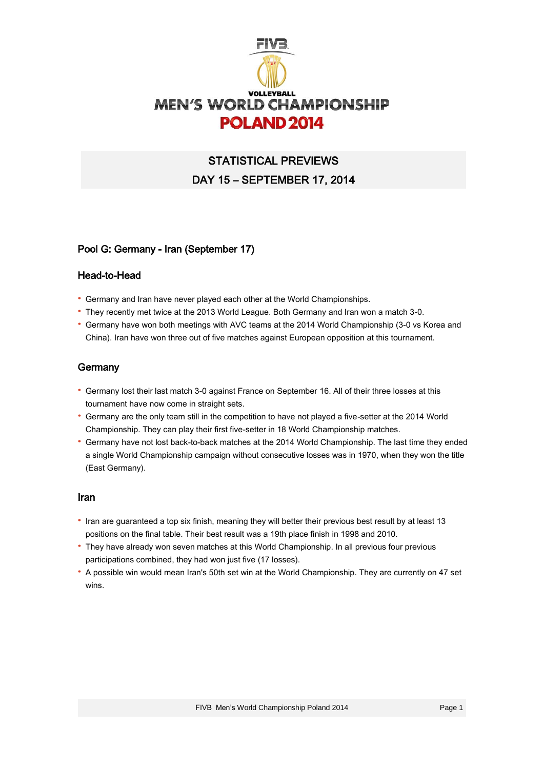

# STATISTICAL PREVIEWS DAY 15 – SEPTEMBER 17, 2014

# Pool G: Germany - Iran (September 17)

#### Head-to-Head

- · Germany and Iran have never played each other at the World Championships.
- · They recently met twice at the 2013 World League. Both Germany and Iran won a match 3-0.
- · Germany have won both meetings with AVC teams at the 2014 World Championship (3-0 vs Korea and China). Iran have won three out of five matches against European opposition at this tournament.

# **Germany**

- · Germany lost their last match 3-0 against France on September 16. All of their three losses at this tournament have now come in straight sets.
- · Germany are the only team still in the competition to have not played a five-setter at the 2014 World Championship. They can play their first five-setter in 18 World Championship matches.
- · Germany have not lost back-to-back matches at the 2014 World Championship. The last time they ended a single World Championship campaign without consecutive losses was in 1970, when they won the title (East Germany).

#### Iran

- · Iran are guaranteed a top six finish, meaning they will better their previous best result by at least 13 positions on the final table. Their best result was a 19th place finish in 1998 and 2010.
- · They have already won seven matches at this World Championship. In all previous four previous participations combined, they had won just five (17 losses).
- · A possible win would mean Iran's 50th set win at the World Championship. They are currently on 47 set wins.